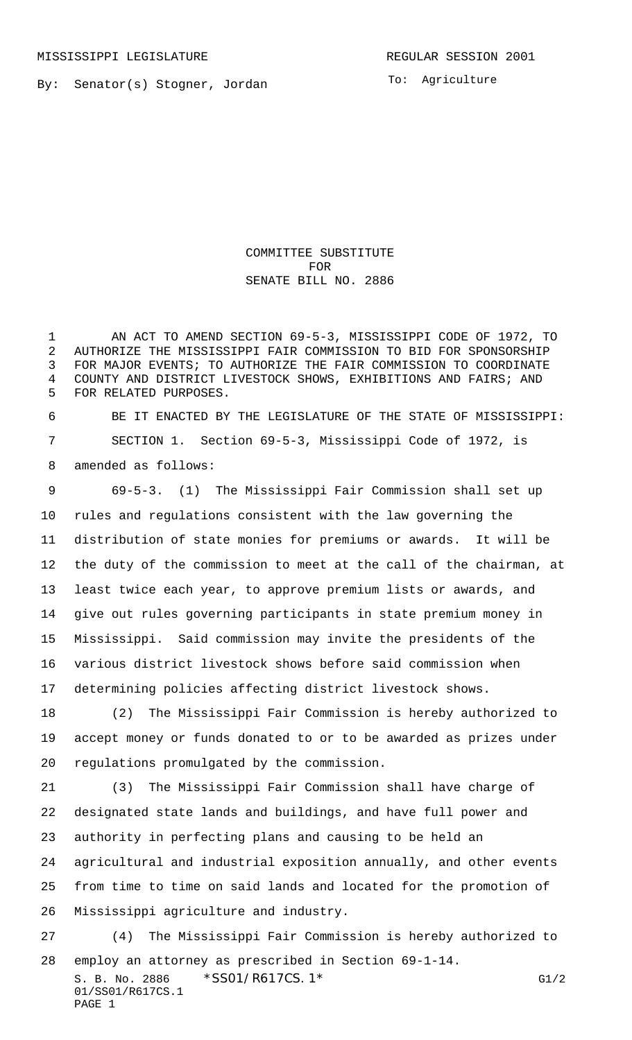By: Senator(s) Stogner, Jordan

COMMITTEE SUBSTITUTE FOR SENATE BILL NO. 2886

 AN ACT TO AMEND SECTION 69-5-3, MISSISSIPPI CODE OF 1972, TO AUTHORIZE THE MISSISSIPPI FAIR COMMISSION TO BID FOR SPONSORSHIP FOR MAJOR EVENTS; TO AUTHORIZE THE FAIR COMMISSION TO COORDINATE COUNTY AND DISTRICT LIVESTOCK SHOWS, EXHIBITIONS AND FAIRS; AND FOR RELATED PURPOSES.

 BE IT ENACTED BY THE LEGISLATURE OF THE STATE OF MISSISSIPPI: SECTION 1. Section 69-5-3, Mississippi Code of 1972, is amended as follows:

 69-5-3. (1) The Mississippi Fair Commission shall set up rules and regulations consistent with the law governing the distribution of state monies for premiums or awards. It will be the duty of the commission to meet at the call of the chairman, at least twice each year, to approve premium lists or awards, and give out rules governing participants in state premium money in Mississippi. Said commission may invite the presidents of the various district livestock shows before said commission when determining policies affecting district livestock shows.

 (2) The Mississippi Fair Commission is hereby authorized to accept money or funds donated to or to be awarded as prizes under regulations promulgated by the commission.

 (3) The Mississippi Fair Commission shall have charge of designated state lands and buildings, and have full power and authority in perfecting plans and causing to be held an agricultural and industrial exposition annually, and other events from time to time on said lands and located for the promotion of Mississippi agriculture and industry.

S. B. No. 2886 \* SSO1/R617CS. 1\* FOREST CONTROLLER STATES CONTROLLER STATES G1/2 01/SS01/R617CS.1 PAGE 1 (4) The Mississippi Fair Commission is hereby authorized to employ an attorney as prescribed in Section 69-1-14.